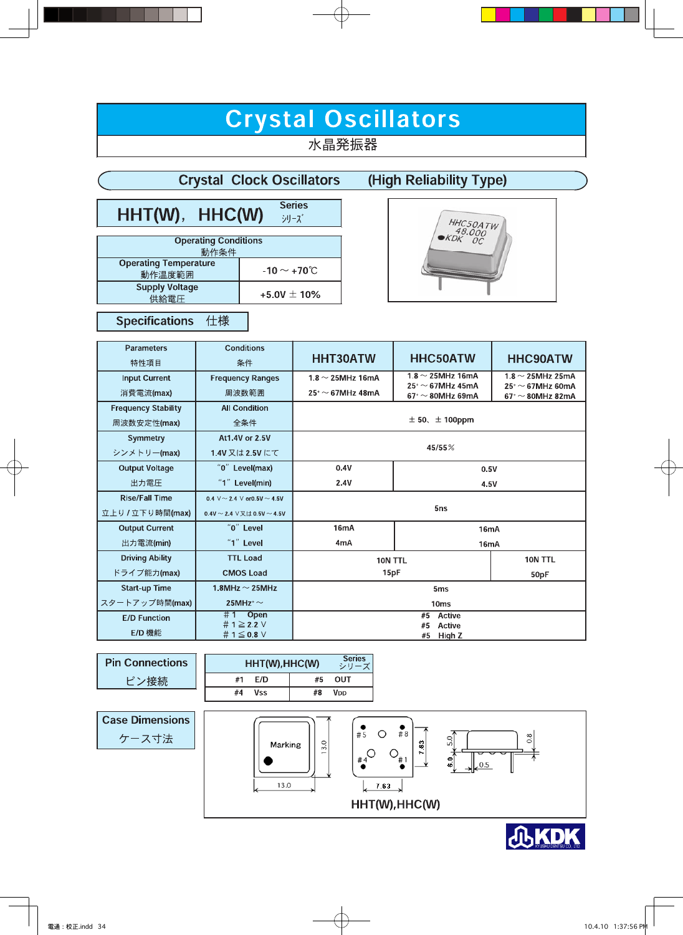# Crystal Oscillators

水晶発振器

|                                        | <b>Crystal Clock Oscillators</b> | (High Reliability Type) |
|----------------------------------------|----------------------------------|-------------------------|
| HHT(W), HHC(W)                         | <b>Series</b><br>シリーズ            |                         |
| <b>Operating Conditions</b><br>動作条件    |                                  | HHC50ATW                |
| <b>Operating Temperature</b><br>動作温度範囲 | -10 $\sim$ +70 $\degree$ C       |                         |
| <b>Supply Voltage</b><br>供給電圧          | +5.0V $\pm$ 10%                  |                         |

#### **Specifications** 仕様

| <b>Parameters</b><br>特性項目  | <b>Conditions</b><br>条件                           | <b>HHT30ATW</b>                       | <b>HHC50ATW</b>                                                                              | <b>HHC90ATW</b>                                                  |  |  |
|----------------------------|---------------------------------------------------|---------------------------------------|----------------------------------------------------------------------------------------------|------------------------------------------------------------------|--|--|
| <b>Input Current</b>       | <b>Frequency Ranges</b>                           | 1.8 $\sim$ 25MHz 16mA                 | $1.8 \sim$ 25MHz 16mA                                                                        | 1.8 $\sim$ 25MHz 25mA                                            |  |  |
| 消費電流(max)                  | 周波数範囲                                             | $25^{\circ}$ ~ 67MHz 48mA             | $25^{\scriptscriptstyle +}\!\sim$ 67MHz 45mA<br>$67^{\scriptscriptstyle +}\!\sim80$ MHz 69mA | $25^{\circ}$ $\sim$ 67MHz 60mA<br>$67^{\circ}$ $\sim$ 80MHz 82mA |  |  |
| <b>Frequency Stability</b> | <b>All Condition</b>                              |                                       |                                                                                              |                                                                  |  |  |
| 周波数安定性(max)                | 全条件                                               |                                       | $\pm$ 50, $\pm$ 100ppm                                                                       |                                                                  |  |  |
| <b>Symmetry</b>            | At 1.4V or 2.5V                                   |                                       |                                                                                              |                                                                  |  |  |
| シンメトリー(max)                | 1.4V 又は2.5V にて                                    | 45/55%                                |                                                                                              |                                                                  |  |  |
| <b>Output Voltage</b>      | "0" Level(max)                                    | 0.4V<br>0.5V                          |                                                                                              |                                                                  |  |  |
| 出力電圧                       | "1" Level(min)                                    | 2.4V<br>4.5V                          |                                                                                              |                                                                  |  |  |
| <b>Rise/Fall Time</b>      | 0.4 $\vee$ ~ 2.4 $\vee$ or0.5V ~ 4.5V             |                                       |                                                                                              |                                                                  |  |  |
| 立上り/立下り時間(max)             | 04V ~ 24 $\vee$ $\vee$ $\updownarrow$ 0.5V ~ 4.5V | 5 <sub>ns</sub>                       |                                                                                              |                                                                  |  |  |
| <b>Output Current</b>      | "0" Level                                         | 16 <sub>m</sub> A<br>16mA             |                                                                                              |                                                                  |  |  |
| 出力電流(min)                  | "1" Level                                         | 4 <sub>m</sub> A<br>16 <sub>m</sub> A |                                                                                              |                                                                  |  |  |
| <b>Driving Ability</b>     | <b>TTL Load</b>                                   | 10N TTL<br>10N TTL                    |                                                                                              |                                                                  |  |  |
| ドライブ能力(max)                | <b>CMOS Load</b>                                  | 15pF<br>50pF                          |                                                                                              |                                                                  |  |  |
| <b>Start-up Time</b>       | 1.8MHz $\sim$ 25MHz                               | 5 <sub>ms</sub>                       |                                                                                              |                                                                  |  |  |
| スタートアップ時間(max)             | 25MHz <sup>+</sup> $\sim$                         | 10 <sub>ms</sub>                      |                                                                                              |                                                                  |  |  |
| <b>E/D Function</b>        | $#1$ Open<br>#1 $\geq$ 2.2 V                      | #5<br>Active<br>#5                    |                                                                                              |                                                                  |  |  |
| E/D 機能                     | #1 $\leq$ 0.8 $\vee$                              | Active<br>High Z<br>#5                |                                                                                              |                                                                  |  |  |

| <b>Pin Connections</b> |  |  |
|------------------------|--|--|
| ピン接続                   |  |  |

| F/D<br>OUT<br>#1<br>#5<br>#4<br>Vss<br>#8<br>Voo | HHT(W), HHC(W) | <b>Series</b><br>シリーズ |  |
|--------------------------------------------------|----------------|-----------------------|--|
|                                                  |                |                       |  |
|                                                  |                |                       |  |



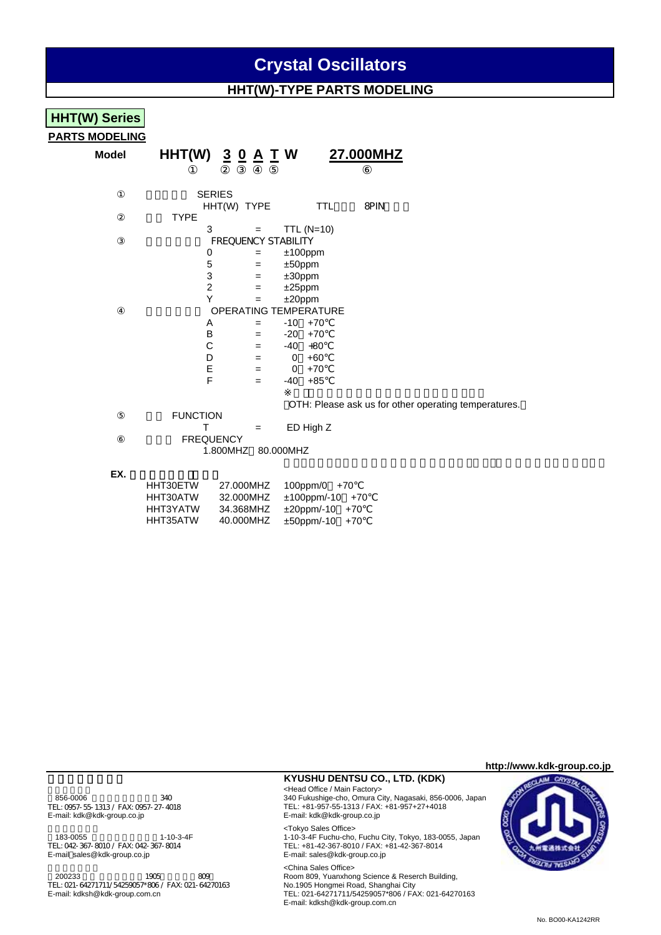## **Crystal Oscillators**

### **HHT(W)-TYPE PARTS MODELING**

# **HHT(W) Series**

**PARTS MODELING**

## **Model HHT(W) 3 0 A T W 27.000MHZ**

|             | <b>JENIEJ</b> |                            |           |                              |      |
|-------------|---------------|----------------------------|-----------|------------------------------|------|
|             | HHT(W) TYPE   |                            |           | TTL                          | 8PIN |
| <b>TYPE</b> |               |                            |           |                              |      |
|             | 3             |                            |           | TTL $(N=10)$                 |      |
|             |               | <b>FREQUENCY STABILITY</b> |           |                              |      |
|             | 0             | =                          |           | $±100$ ppm                   |      |
|             | 5             | =                          | $±50$ ppm |                              |      |
|             | 3             | $=$                        | $±30$ ppm |                              |      |
|             | 2             | =                          | $±25$ ppm |                              |      |
|             | Y             |                            | $±20$ ppm |                              |      |
|             |               |                            |           | <b>OPERATING TEMPERATURE</b> |      |
|             | Α             | =                          | -10       | $+70$                        |      |
|             | в             | =                          | $-20$     | $+70$                        |      |
|             | С             | $=$                        | $-40$     | $+80$                        |      |
|             | D             | =                          | 0         | $+60$                        |      |
|             | Е             | =                          | 0         | $+70$                        |      |
|             | F             | =                          | -40       | $+85$                        |      |
|             |               |                            |           |                              |      |

OTH: Please ask us for other operating temperatures.

**FUNCTION**  $T = ED High Z$ **FREQUENCY** 1.800MHZ 80.000MHZ

OF DIE O

#### EX.

| HHT30ETW | 27.000MHZ | $100$ ppm/0 $+70$      |
|----------|-----------|------------------------|
| HHT30ATW | 32.000MHZ | $±100$ ppm/-10 $+70$   |
| HHT3YATW | 34.368MHZ | $\pm 20$ ppm/-10 $+70$ |
| HHT35ATW | 40.000MHZ | ±50ppm/-10 +70         |

**http://www.kdk-group.co.jp**

<Tokyo Sales Office><br>183-0055 11-10-3-4F<br>193-4F 1-10-3-4F 1-10-3-4F TEL: 042-367-8010 / FAX: 042-367-8014<br>E-mail: sales@kdk-group.co.jp

<China Sales Office><br>200233 1905 - 200233 1905 - 200233 1905 1905 1905 1909 1910 1920 TEL: 021-64271711/54259057\*806 / FAX: 021-64270163<br>E-mail: kdksh@kdk-group.com.cn

#### **KYUSHU DENTSU CO., LTD. (KDK)**

<本社営業> <Head Office / Main Factory> 856-0006 340 340 340 340 366-0006 340 340 5 340 5 340 5 340 Fukushige-cho, Omura City, Nagasaki, 856-0006, Japan<br>TEL: 0957-55-1313 / FAX: 0957-27-4018 5 340 FL: +81-957-55-1313 / FAX: +81-957+27+4018 TEL: 0957-55-1313 / FAX: 0957-27-4018<br>
TEL: +81-957-55-1313 / FAX: +81-957+27+4018<br>
E-mail: kdk@kdk-group.co.jp<br>
E-mail: kdk@kdk-group.co.jp E-mail: kdk@kdk-group.co.jp E-mail: kdk@kdk-group.co.jp

> 1-10-3-4F Fuchu-cho, Fuchu City, Tokyo, 183-0055, Japan TEL: +81-42-367-8010 / FAX: +81-42-367-8014<br>TEL: +81-42-367-8010 / FAX: +81-42-367-8014<br>E-mail: sales@kdk-group.co.jp

Room 809, Yuanxhong Science & Reserch Building, E-mail: kdksh@kdk-group.com.cn TEL: 021-64271711/54259057\*806 / FAX: 021-64270163 E-mail: kdksh@kdk-group.com.cn